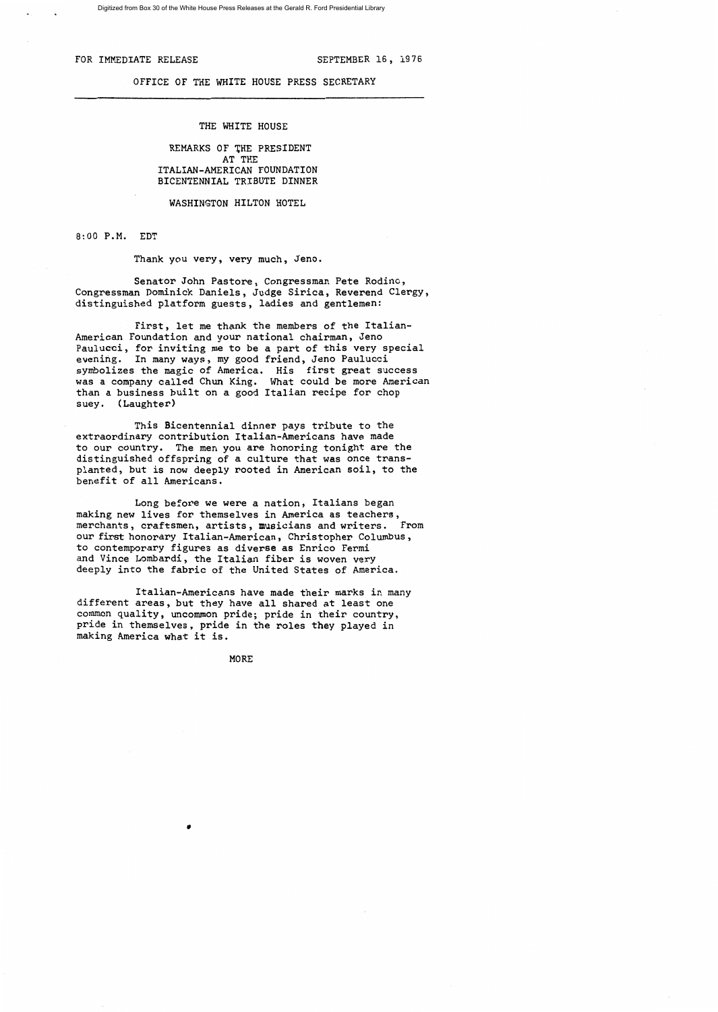# FOR IMMEDIATE RELEASE SEPTEMBER 16, 1976

### OFFICE OF THE WHITE HOUSE PRESS SECRETARY

## THE WHITE HOUSE

# REMARKS OF THE PRESIDENT AT THE ITALIAN-AMERICAN FOUNDATION BICENTENNIAL TRIBUTE DINNER

WASHINGTON HILTON HOTEL

8:00 P.M. EDT

Thank you very, very much, Jeno.

Senator John Pastore, Congressman Pete Rodino, Congressman Dominick Daniels, Judge Sirica, Reverend Clergy, distinguished platform guests, ladies and gentlemen:

First, let me thank the members of the Italian-American Foundation and your national chairman, Jeno Paulucci, for inviting me to be a part of this very special evening. In many ways, my good friend, Jeno Paulucci symbolizes the magic of America. His first great success was a company called Chun King. What could be more American than a business built on a good Italian recipe for chop suey. (Laughter)

This Bicentennial dinner pays tribute to the extraordinary contribution Italian-Americans have made to our country. The men you are honoring tonight are the distinguished offspring of a culture that was once transplanted, but is now deeply rooted in American soil, to the benefit of all Americans.

Long before we were a nation, Italians began making new lives for themselves in America as teachers, merchants, craftsmen, artists, musicians and writers. From our first honorary Italian-American, Christopher Columbus, to contemporary figures as diverse as Enrico Fermi and Vince Lombardi, the Italian fiber is woven very deeply into the fabric of the United States of America.

Italian-Americans have made their marks in many different areas, but they have all shared at least one common quality, uncommon pride; pride in their country, pride in themselves, pride in the roles they played in making America what it is.

MORE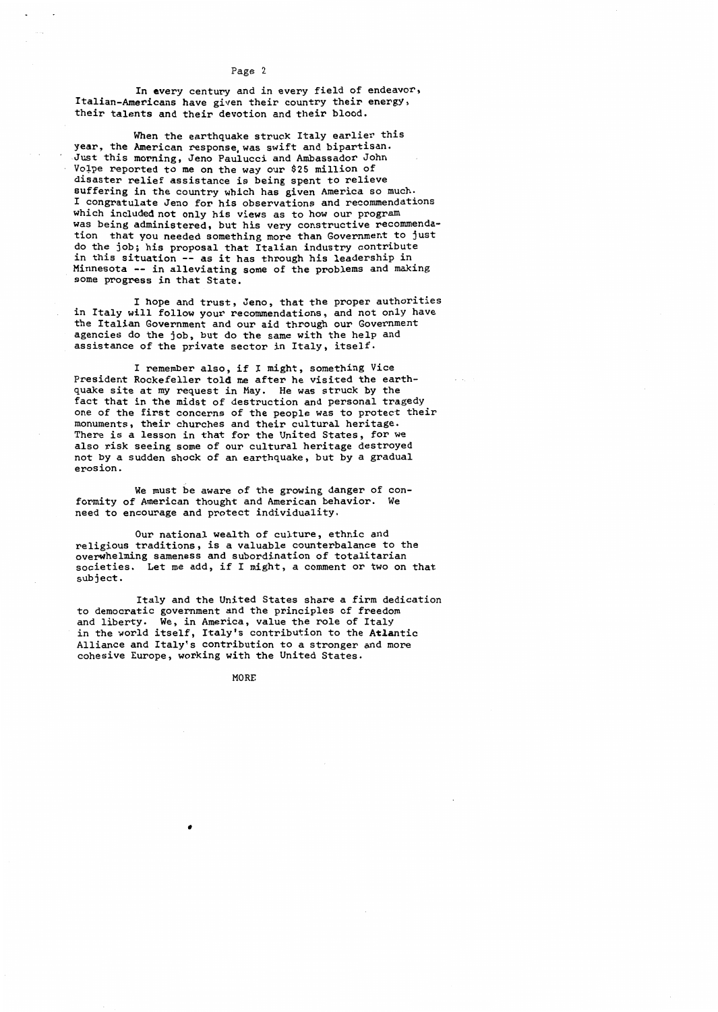In every century and in every field of endeavor, Italian-Americans have given their country their energy, their talents and their devotion and their blood.

When the earthquake struck Italy earlier this year, the American response was swift and bipartisan. Just this morning, Jeno Paulucci and Ambassador John Volpe reported to me on the way our \$25 million of disaster relief assistance is being spent to relieve suffering in the country which has given America so much. I congratulate Jeno for his observations and recommendations which included not only his views as to how our program was being administered, but his very constructive recommenda-<br>tion that you needed something more than Government to just that you needed something more than Government to just do the job; his proposal that Italian industry contribute in this situation -- as it has through his leadership in Minnesota -- in alleviating some of the problems and making some progress in that State.

I hope and trust, Jeno, that the proper authorities in Italy will follow your recommendations, and not only have the Italian Government and our aid through our Government agencies do the job, but do the same with the help and assistance of the private sector in Italy, itself.

I remember also, if I might, something Vice President Rockefeller told me after he visited the earthquake site at my request in May. He was struck by the fact that in the midst of destruction and personal tragedy one of the first concerns of the people was to protect their monuments, their churches and their cultural heritage. There is a lesson in that for the United States, for we also risk seeing some of our cultural heritage destroyed not by a sudden shock of an earthquake, but by a gradual erosion.

We must be aware of the growing danger of conformity of American thought and American behavior. We need to encourage and protect individuality.

Our national wealth of culture, ethnic and religious traditions, is a valuable counterbalance to the overwhelming sameness and subordination of totalitarian societies. Let me add, if I might, a comment or two on that subject.

Italy and the United States share a firm dedication to democratic government and the principles of freedom and liberty. We, in America, value the role of Italy in the world itself, Italy's contribution to the Atlantic Alliance and Italy's contribution to a stronger and more cohesive Europe, working with the United States.

MORE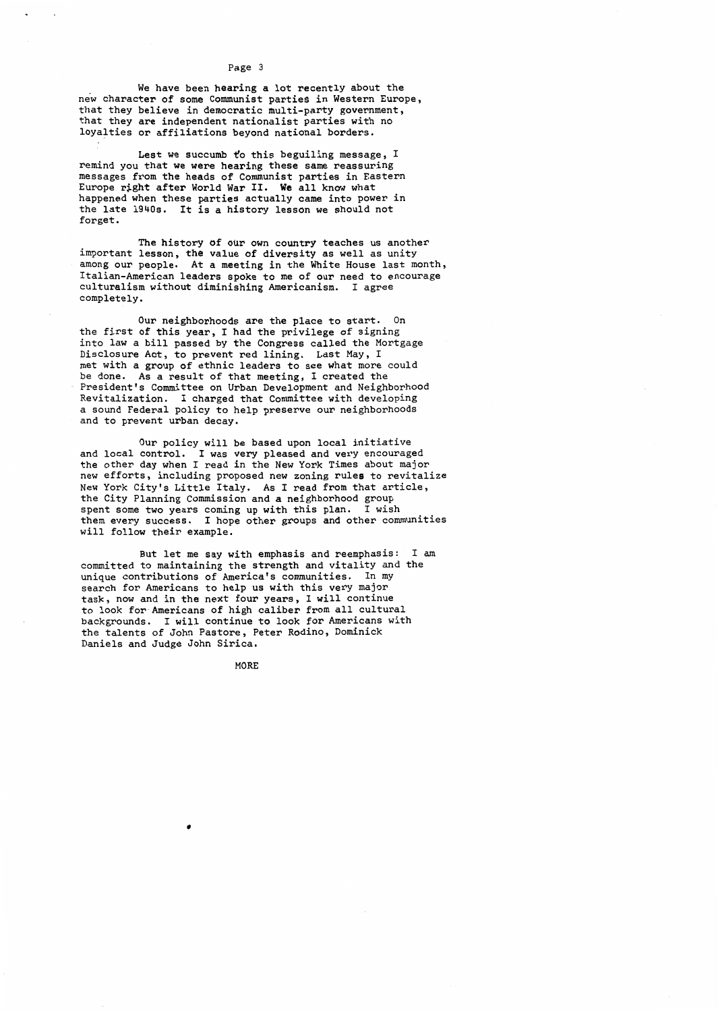We have been hearing a lot recently about the new character of some Communist parties in Western Europe, that they believe in democratic multi-party government, that they are independent nationalist parties with no loyalties or affiliations beyond national borders.

Lest we succumb to this beguiling message,  $I$ remind you that we were hearing these same reassuring messages from the heads of Communist parties in Eastern Europe right after World War II. We all know what happened when these parties actually came into power in the late 1940s. It is a history lesson we should not forget.

The history of our own country teaches us another important lesson, the value of diversity as well as unity among our people. At a meeting in the White House last month. Italian-American leaders spoke to me of our need to encourage culturalism without diminishing Americanism. I agree completely.

Our neighborhoods are the place to start. On the first of this year, I had the privilege of signing into law a bill passed by the Congress called the Mortgage Disclosure Act, to prevent red lining. Last May, I met with a group of ethnic leaders to see what more could be done. As a result of that meeting, I created the President's Committee on Urban Development and Neighborhood Revitalization. I charged that Committee with developing a sound Federal policy to help preserve our neighborhoods and to prevent urban decay.

Our policy will be based upon local initiative and local control. I was very pleased and very encouraged the other day when I read in the New York Times about major new efforts, including proposed new zoning rules to revitalize New York City's Little Italy. As I read from that article, the City Planning Commission and a neighborhood group spent some two years coming up with this plan. I wish<br>them every success. I hope other groups and other com I hope other groups and other communities will follow their example.

But let me say with emphasis and reemphasis: I am committed to maintaining the strength and vitality and the unique contributions of America's communities. In my search for Americans to help us with this very major task, now and in the next four years, I will continue to look for-Americans of high caliber from all cultural backgrounds. I will continue to look for Americans with the talents of John Pastore, Peter Rodino, Dominick Daniels and Judge John Sirica.